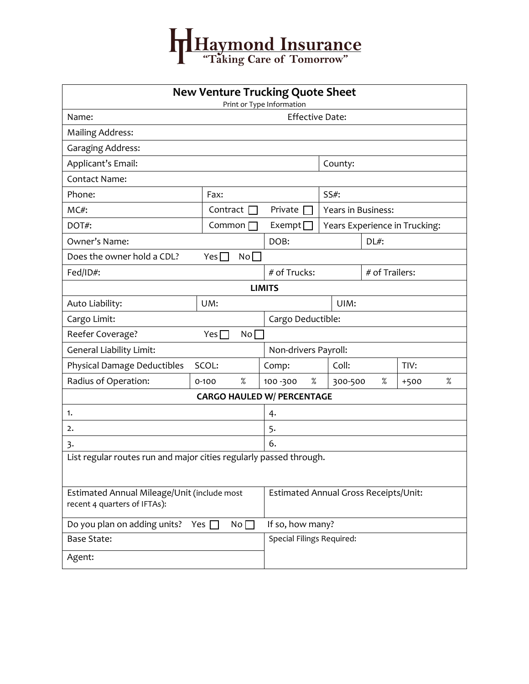

| <b>New Venture Trucking Quote Sheet</b><br>Print or Type Information        |                                   |                                       |                               |                |        |   |  |  |  |
|-----------------------------------------------------------------------------|-----------------------------------|---------------------------------------|-------------------------------|----------------|--------|---|--|--|--|
| <b>Effective Date:</b><br>Name:                                             |                                   |                                       |                               |                |        |   |  |  |  |
| <b>Mailing Address:</b>                                                     |                                   |                                       |                               |                |        |   |  |  |  |
| <b>Garaging Address:</b>                                                    |                                   |                                       |                               |                |        |   |  |  |  |
| Applicant's Email:                                                          |                                   | County:                               |                               |                |        |   |  |  |  |
| <b>Contact Name:</b>                                                        |                                   |                                       |                               |                |        |   |  |  |  |
| Phone:                                                                      | Fax:                              |                                       | $SS#$ :                       |                |        |   |  |  |  |
| $MC#$ :                                                                     | Contract $\Box$                   | Private                               | <b>Years in Business:</b>     |                |        |   |  |  |  |
| DOT#:                                                                       | Common                            | Exempt <sup>[</sup>                   | Years Experience in Trucking: |                |        |   |  |  |  |
| Owner's Name:                                                               |                                   | DOB:                                  |                               | $DL#$ :        |        |   |  |  |  |
| No<br>Does the owner hold a CDL?<br>Yes <sub>l</sub>                        |                                   |                                       |                               |                |        |   |  |  |  |
| Fed/ID#:                                                                    |                                   | # of Trucks:                          |                               | # of Trailers: |        |   |  |  |  |
| <b>LIMITS</b>                                                               |                                   |                                       |                               |                |        |   |  |  |  |
| Auto Liability:                                                             | UM:                               |                                       | UIM:                          |                |        |   |  |  |  |
| Cargo Limit:                                                                | Cargo Deductible:                 |                                       |                               |                |        |   |  |  |  |
| Reefer Coverage?                                                            | Yes $\Box$<br>No                  |                                       |                               |                |        |   |  |  |  |
| <b>General Liability Limit:</b>                                             | Non-drivers Payroll:              |                                       |                               |                |        |   |  |  |  |
| Physical Damage Deductibles                                                 | SCOL:                             | Comp:                                 | Coll:                         |                | TIV:   |   |  |  |  |
| Radius of Operation:                                                        | $\%$<br>$0 - 100$                 | %<br>100 - 300                        | 300-500                       | %              | $+500$ | % |  |  |  |
|                                                                             | <b>CARGO HAULED W/ PERCENTAGE</b> |                                       |                               |                |        |   |  |  |  |
| 1.                                                                          | 4.                                |                                       |                               |                |        |   |  |  |  |
| 2.                                                                          | 5.                                |                                       |                               |                |        |   |  |  |  |
| 3.                                                                          | 6.                                |                                       |                               |                |        |   |  |  |  |
| List regular routes run and major cities regularly passed through.          |                                   |                                       |                               |                |        |   |  |  |  |
| Estimated Annual Mileage/Unit (include most<br>recent 4 quarters of IFTAs): |                                   | Estimated Annual Gross Receipts/Unit: |                               |                |        |   |  |  |  |
| Do you plan on adding units? Yes $\Box$                                     | If so, how many?                  |                                       |                               |                |        |   |  |  |  |
| <b>Base State:</b>                                                          | Special Filings Required:         |                                       |                               |                |        |   |  |  |  |
| Agent:                                                                      |                                   |                                       |                               |                |        |   |  |  |  |